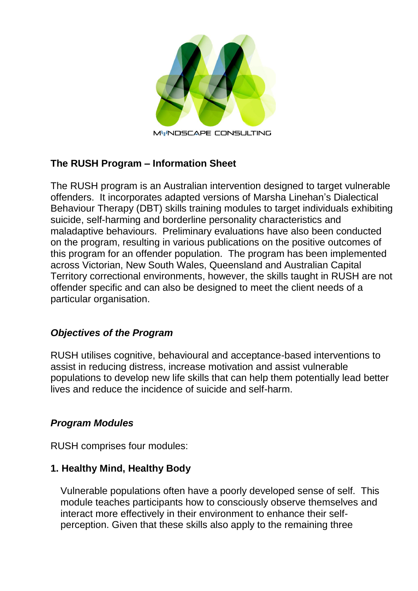

### **The RUSH Program – Information Sheet**

The RUSH program is an Australian intervention designed to target vulnerable offenders. It incorporates adapted versions of Marsha Linehan's Dialectical Behaviour Therapy (DBT) skills training modules to target individuals exhibiting suicide, self-harming and borderline personality characteristics and maladaptive behaviours. Preliminary evaluations have also been conducted on the program, resulting in various publications on the positive outcomes of this program for an offender population. The program has been implemented across Victorian, New South Wales, Queensland and Australian Capital Territory correctional environments, however, the skills taught in RUSH are not offender specific and can also be designed to meet the client needs of a particular organisation.

#### *Objectives of the Program*

RUSH utilises cognitive, behavioural and acceptance-based interventions to assist in reducing distress, increase motivation and assist vulnerable populations to develop new life skills that can help them potentially lead better lives and reduce the incidence of suicide and self-harm.

#### *Program Modules*

RUSH comprises four modules:

#### **1. Healthy Mind, Healthy Body**

Vulnerable populations often have a poorly developed sense of self. This module teaches participants how to consciously observe themselves and interact more effectively in their environment to enhance their selfperception. Given that these skills also apply to the remaining three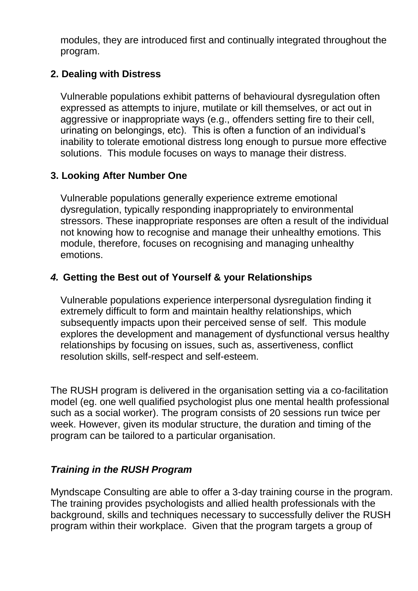modules, they are introduced first and continually integrated throughout the program.

### **2. Dealing with Distress**

Vulnerable populations exhibit patterns of behavioural dysregulation often expressed as attempts to injure, mutilate or kill themselves, or act out in aggressive or inappropriate ways (e.g., offenders setting fire to their cell, urinating on belongings, etc). This is often a function of an individual's inability to tolerate emotional distress long enough to pursue more effective solutions. This module focuses on ways to manage their distress.

# **3. Looking After Number One**

Vulnerable populations generally experience extreme emotional dysregulation, typically responding inappropriately to environmental stressors. These inappropriate responses are often a result of the individual not knowing how to recognise and manage their unhealthy emotions. This module, therefore, focuses on recognising and managing unhealthy emotions.

# *4.* **Getting the Best out of Yourself & your Relationships**

Vulnerable populations experience interpersonal dysregulation finding it extremely difficult to form and maintain healthy relationships, which subsequently impacts upon their perceived sense of self. This module explores the development and management of dysfunctional versus healthy relationships by focusing on issues, such as, assertiveness, conflict resolution skills, self-respect and self-esteem.

The RUSH program is delivered in the organisation setting via a co-facilitation model (eg. one well qualified psychologist plus one mental health professional such as a social worker). The program consists of 20 sessions run twice per week. However, given its modular structure, the duration and timing of the program can be tailored to a particular organisation.

# *Training in the RUSH Program*

Myndscape Consulting are able to offer a 3-day training course in the program. The training provides psychologists and allied health professionals with the background, skills and techniques necessary to successfully deliver the RUSH program within their workplace. Given that the program targets a group of